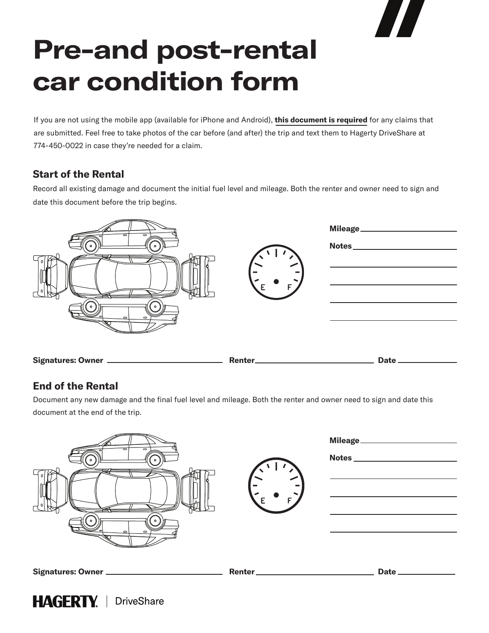# **Pre-and post-rental car condition form**

If you are not using the mobile app (available for iPhone and Android), **this document is required** for any claims that are submitted. Feel free to take photos of the car before (and after) the trip and text them to Hagerty DriveShare at 774-450-0022 in case they're needed for a claim.

# **Start of the Rental**

Record all existing damage and document the initial fuel level and mileage. Both the renter and owner need to sign and date this document before the trip begins.



# **End of the Rental**

Document any new damage and the final fuel level and mileage. Both the renter and owner need to sign and date this document at the end of the trip.

| ᇹ<br>$\Rightarrow$<br>$\circ$<br>┌<br>$\circ$<br>$\Rightarrow$<br>$\overline{\phantom{0}}$ |         | Mileage__________ |
|--------------------------------------------------------------------------------------------|---------|-------------------|
| Signatures: Owner                                                                          | Renter_ | Date.             |